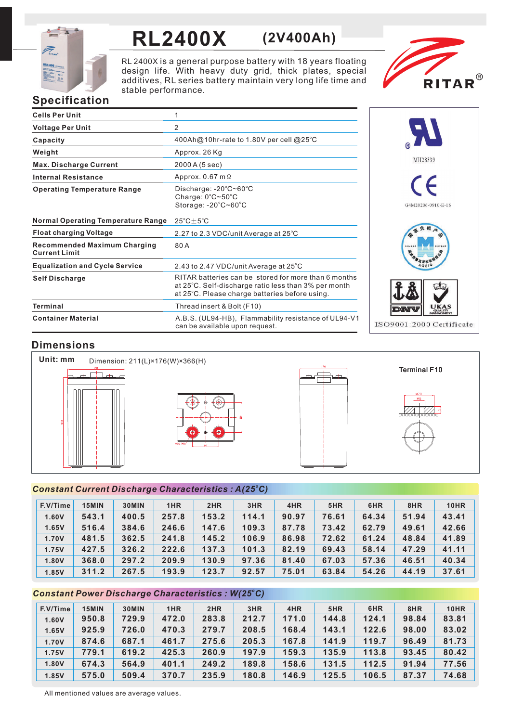

# **RL2400X (2V400Ah)**

RL 2400X is a general purpose battery with 18 years floating design life. With heavy duty grid, thick plates, special additives, RL series battery maintain very long life time and stable performance.



# **Specification**

| <b>Cells Per Unit</b>                                       | 1                                                                                                                                                              |
|-------------------------------------------------------------|----------------------------------------------------------------------------------------------------------------------------------------------------------------|
| <b>Voltage Per Unit</b>                                     | 2                                                                                                                                                              |
| Capacity                                                    | 400Ah@10hr-rate to 1.80V per cell @25°C                                                                                                                        |
| Weight                                                      | Approx. 26 Kg                                                                                                                                                  |
| <b>Max. Discharge Current</b>                               | 2000 A (5 sec)                                                                                                                                                 |
| <b>Internal Resistance</b>                                  | Approx. $0.67$ m $\Omega$                                                                                                                                      |
| <b>Operating Temperature Range</b>                          | Discharge: $-20^{\circ}$ C~60 $^{\circ}$ C<br>Charge: 0°C~50°C<br>Storage: -20°C~60°C                                                                          |
| <b>Normal Operating Temperature Range</b>                   | $25^{\circ}$ C $\pm$ 5 $^{\circ}$ C                                                                                                                            |
| <b>Float charging Voltage</b>                               | 2.27 to 2.3 VDC/unit Average at 25°C                                                                                                                           |
| <b>Recommended Maximum Charging</b><br><b>Current Limit</b> | 80A                                                                                                                                                            |
| <b>Equalization and Cycle Service</b>                       | 2.43 to 2.47 VDC/unit Average at 25°C                                                                                                                          |
| <b>Self Discharge</b>                                       | RITAR batteries can be stored for more than 6 months<br>at 25°C. Self-discharge ratio less than 3% per month<br>at 25°C. Please charge batteries before using. |
| <b>Terminal</b>                                             | Thread insert & Bolt (F10)                                                                                                                                     |
| <b>Container Material</b>                                   | A.B.S. (UL94-HB), Flammability resistance of UL94-V1<br>can be available upon request.                                                                         |



# **Dimensions**



## *<sup>o</sup> Constant Current Discharge Characteristics : A(25 C)*

| F.V/Time | 15MIN | 30MIN | 1HR   | 2HR   | 3HR   | 4HR   | 5HR   | 6HR   | 8HR   | <b>10HR</b> |
|----------|-------|-------|-------|-------|-------|-------|-------|-------|-------|-------------|
| 1.60V    | 543.1 | 400.5 | 257.8 | 153.2 | 114.1 | 90.97 | 76.61 | 64.34 | 51.94 | 43.41       |
| 1.65V    | 516.4 | 384.6 | 246.6 | 147.6 | 109.3 | 87.78 | 73.42 | 62.79 | 49.61 | 42.66       |
| 1.70V    | 481.5 | 362.5 | 241.8 | 145.2 | 106.9 | 86.98 | 72.62 | 61.24 | 48.84 | 41.89       |
| 1.75V    | 427.5 | 326.2 | 222.6 | 137.3 | 101.3 | 82.19 | 69.43 | 58.14 | 47.29 | 41.11       |
| 1.80V    | 368.0 | 297.2 | 209.9 | 130.9 | 97.36 | 81.40 | 67.03 | 57.36 | 46.51 | 40.34       |
| 1.85V    | 311.2 | 267.5 | 193.9 | 123.7 | 92.57 | 75.01 | 63.84 | 54.26 | 44.19 | 37.61       |

## *<sup>o</sup> Constant Power Discharge Characteristics : W(25 C)*

| F.V/Time | 15MIN | 30MIN | 1HR   | 2HR   | 3HR   | 4HR   | 5HR   | 6HR   | 8HR   | <b>10HR</b> |
|----------|-------|-------|-------|-------|-------|-------|-------|-------|-------|-------------|
| 1.60V    | 950.8 | 729.9 | 472.0 | 283.8 | 212.7 | 171.0 | 144.8 | 124.1 | 98.84 | 83.81       |
| 1.65V    | 925.9 | 726.0 | 470.3 | 279.7 | 208.5 | 168.4 | 143.1 | 122.6 | 98.00 | 83.02       |
| 1.70V    | 874.6 | 687.1 | 461.7 | 275.6 | 205.3 | 167.8 | 141.9 | 119.7 | 96.49 | 81.73       |
| 1.75V    | 779.1 | 619.2 | 425.3 | 260.9 | 197.9 | 159.3 | 135.9 | 113.8 | 93.45 | 80.42       |
| 1.80V    | 674.3 | 564.9 | 401.1 | 249.2 | 189.8 | 158.6 | 131.5 | 112.5 | 91.94 | 77.56       |
| 1.85V    | 575.0 | 509.4 | 370.7 | 235.9 | 180.8 | 146.9 | 125.5 | 106.5 | 87.37 | 74.68       |

All mentioned values are average values.